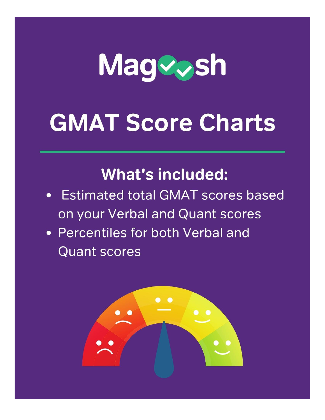

# **GMAT Score Charts**

# **What's included:**

- Estimated total GMAT scores based on your Verbal and Quant scores
- Percentiles for both Verbal and **Quant scores**

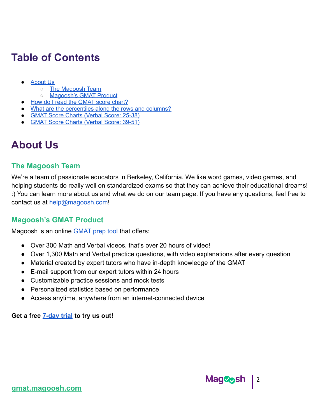# **Table of Contents**

- About Us
	- The [Magoosh](#page-1-0) Team
	- o [Magoosh's](#page-1-1) GMAT Product
- How do I read the [GMAT](#page-2-0) score chart?
- What are the [percentiles](#page-2-1) along the rows and columns?
- GMAT Score Charts (Verbal Score: 25-38)
- GMAT Score Charts (Verbal Score: 39-51)

### **About Us**

#### <span id="page-1-0"></span>**The Magoosh Team**

We're a team of passionate educators in Berkeley, California. We like word games, video games, and helping students do really well on standardized exams so that they can achieve their educational dreams! :) You can learn more about us and what we do on our team page. If you have any questions, feel free to contact us at [help@magoosh.com](mailto:help@magoosh.com)!

#### <span id="page-1-1"></span>**Magoosh's GMAT Product**

Magoosh is an online **GMAT** prep tool that offers:

- Over 300 Math and Verbal videos, that's over 20 hours of video!
- Over 1,300 Math and Verbal practice questions, with video explanations after every question
- Material created by expert tutors who have in-depth knowledge of the GMAT
- E-mail support from our expert tutors within 24 hours
- Customizable practice sessions and mock tests
- Personalized statistics based on performance
- Access anytime, anywhere from an internet-connected device

#### **Get a free [7-day trial](https://gmat.magoosh.com/subscribe/1-week?utm_source=GMAT&utm_medium=ebook&utm_campaign=GMAT-score-chart-PDF) to try us out!**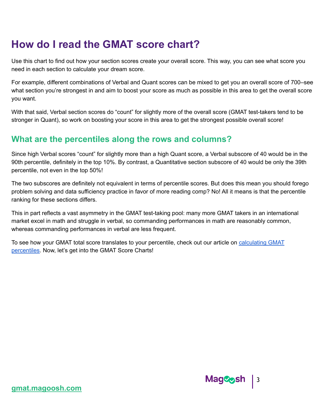# <span id="page-2-0"></span>**How do I read the GMAT score chart?**

Use this chart to find out how your section scores create your overall score. This way, you can see what score you need in each section to calculate your dream score.

For example, different combinations of Verbal and Quant scores can be mixed to get you an overall score of 700–see what section you're strongest in and aim to boost your score as much as possible in this area to get the overall score you want.

With that said, Verbal section scores do "count" for slightly more of the overall score (GMAT test-takers tend to be stronger in Quant), so work on boosting your score in this area to get the strongest possible overall score!

#### <span id="page-2-1"></span>**What are the percentiles along the rows and columns?**

Since high Verbal scores "count" for slightly more than a high Quant score, a Verbal subscore of 40 would be in the 90th percentile, definitely in the top 10%. By contrast, a Quantitative section subscore of 40 would be only the 39th percentile, not even in the top 50%!

The two subscores are definitely not equivalent in terms of percentile scores. But does this mean you should forego problem solving and data sufficiency practice in favor of more reading comp? No! All it means is that the percentile ranking for these sections differs.

This in part reflects a vast asymmetry in the GMAT test-taking pool: many more GMAT takers in an international market excel in math and struggle in verbal, so commanding performances in math are reasonably common, whereas commanding performances in verbal are less frequent.

To see how your GMAT total score translates to your percentile, check out our article on [calculating](https://magoosh.com/gmat/gmat-score-percentiles/) GMAT [percentiles.](https://magoosh.com/gmat/gmat-score-percentiles/) Now, let's get into the GMAT Score Charts!